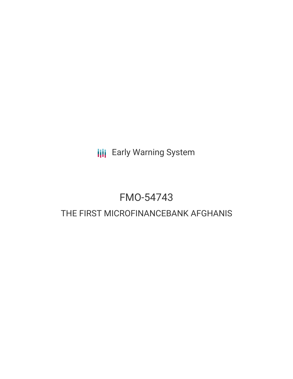**III** Early Warning System

# FMO-54743

## THE FIRST MICROFINANCEBANK AFGHANIS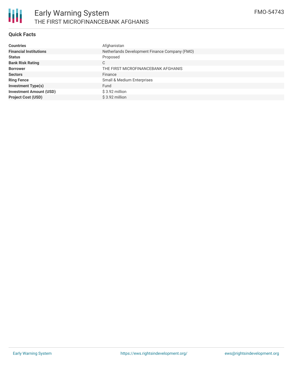#### **Quick Facts**

| <b>Countries</b>               | Afghanistan                                   |  |  |  |
|--------------------------------|-----------------------------------------------|--|--|--|
| <b>Financial Institutions</b>  | Netherlands Development Finance Company (FMO) |  |  |  |
| <b>Status</b>                  | Proposed                                      |  |  |  |
| <b>Bank Risk Rating</b>        | C                                             |  |  |  |
| <b>Borrower</b>                | THE FIRST MICROFINANCEBANK AFGHANIS           |  |  |  |
| <b>Sectors</b>                 | Finance                                       |  |  |  |
| <b>Ring Fence</b>              | Small & Medium Enterprises                    |  |  |  |
| <b>Investment Type(s)</b>      | Fund                                          |  |  |  |
| <b>Investment Amount (USD)</b> | $$3.92$ million                               |  |  |  |
| <b>Project Cost (USD)</b>      | $$3.92$ million                               |  |  |  |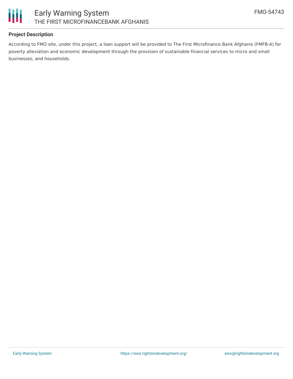

#### **Project Description**

According to FMO site, under this project, a loan support will be provided to The First Microfinance Bank Afghanis (FMFB-A) for poverty alleviation and economic development through the provision of sustainable financial services to micro and small businesses, and households.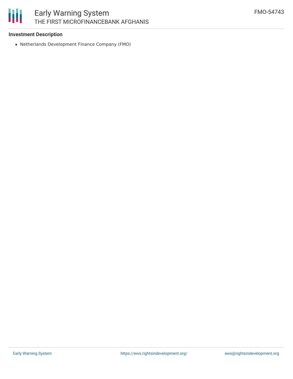

## Early Warning System THE FIRST MICROFINANCEBANK AFGHANIS

#### **Investment Description**

Netherlands Development Finance Company (FMO)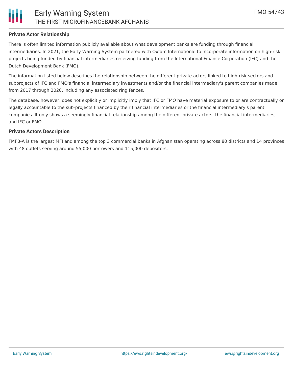

#### **Private Actor Relationship**

There is often limited information publicly available about what development banks are funding through financial intermediaries. In 2021, the Early Warning System partnered with Oxfam International to incorporate information on high-risk projects being funded by financial intermediaries receiving funding from the International Finance Corporation (IFC) and the Dutch Development Bank (FMO).

The information listed below describes the relationship between the different private actors linked to high-risk sectors and subprojects of IFC and FMO's financial intermediary investments and/or the financial intermediary's parent companies made from 2017 through 2020, including any associated ring fences.

The database, however, does not explicitly or implicitly imply that IFC or FMO have material exposure to or are contractually or legally accountable to the sub-projects financed by their financial intermediaries or the financial intermediary's parent companies. It only shows a seemingly financial relationship among the different private actors, the financial intermediaries, and IFC or FMO.

#### **Private Actors Description**

FMFB-A is the largest MFI and among the top 3 commercial banks in Afghanistan operating across 80 districts and 14 provinces with 48 outlets serving around 55,000 borrowers and 115,000 depositors.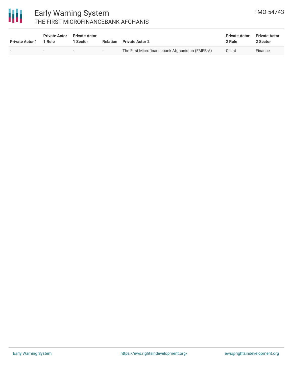

### Early Warning System THE FIRST MICROFINANCEBANK AFGHANIS

| <b>Private Actor 1</b> | <b>Private Actor</b><br>1 Role | <b>Private Actor</b><br>Sector | Relation                 | <b>Private Actor 2</b>                          | <b>Private Actor</b><br>2 Role | <b>Private Actor</b><br>2 Sector |
|------------------------|--------------------------------|--------------------------------|--------------------------|-------------------------------------------------|--------------------------------|----------------------------------|
|                        |                                | $\overline{\phantom{0}}$       | $\overline{\phantom{0}}$ | The First Microfinancebank Afghanistan (FMFB-A) | Client                         | Finance                          |